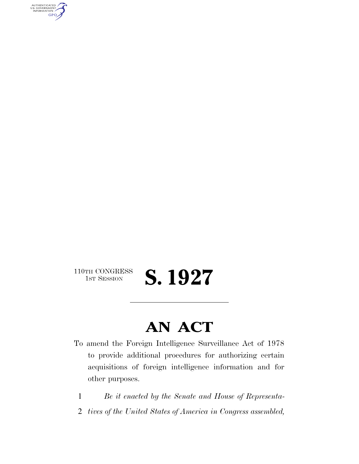AUTHENTICATED<br>U.S. GOVERNMENT<br>INFORMATION **GPO** 

110TH CONGRESS<br>1st Session

1ST SESSION **S. 1927**

# **AN ACT**

- To amend the Foreign Intelligence Surveillance Act of 1978 to provide additional procedures for authorizing certain acquisitions of foreign intelligence information and for other purposes.
	- 1 *Be it enacted by the Senate and House of Representa-*
- 2 *tives of the United States of America in Congress assembled,*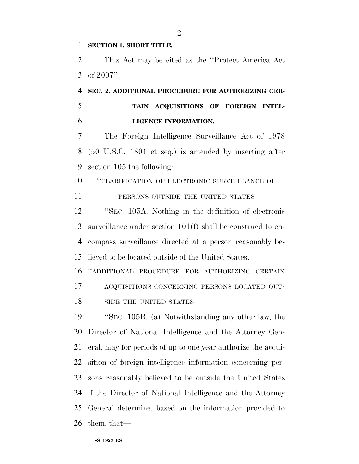#### **SECTION 1. SHORT TITLE.**

 This Act may be cited as the ''Protect America Act of 2007''.

 **SEC. 2. ADDITIONAL PROCEDURE FOR AUTHORIZING CER- TAIN ACQUISITIONS OF FOREIGN INTEL-LIGENCE INFORMATION.** 

 The Foreign Intelligence Surveillance Act of 1978 (50 U.S.C. 1801 et seq.) is amended by inserting after section 105 the following:

''CLARIFICATION OF ELECTRONIC SURVEILLANCE OF

11 PERSONS OUTSIDE THE UNITED STATES

 ''SEC. 105A. Nothing in the definition of electronic surveillance under section 101(f) shall be construed to en- compass surveillance directed at a person reasonably be-lieved to be located outside of the United States.

 ''ADDITIONAL PROCEDURE FOR AUTHORIZING CERTAIN ACQUISITIONS CONCERNING PERSONS LOCATED OUT-18 SIDE THE UNITED STATES

 ''SEC. 105B. (a) Notwithstanding any other law, the Director of National Intelligence and the Attorney Gen- eral, may for periods of up to one year authorize the acqui- sition of foreign intelligence information concerning per- sons reasonably believed to be outside the United States if the Director of National Intelligence and the Attorney General determine, based on the information provided to them, that—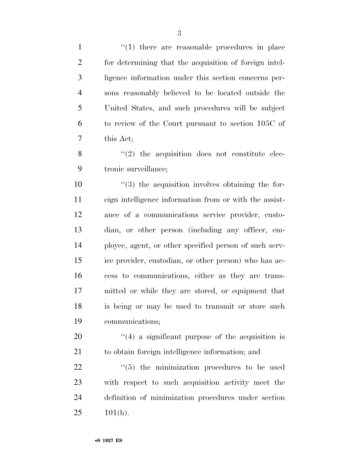| $\mathbf{1}$   | $\lq(1)$ there are reasonable procedures in place                |
|----------------|------------------------------------------------------------------|
| $\overline{2}$ | for determining that the acquisition of foreign intel-           |
| 3              | ligence information under this section concerns per-             |
| $\overline{4}$ | sons reasonably believed to be located outside the               |
| 5              | United States, and such procedures will be subject               |
| 6              | to review of the Court pursuant to section 105C of               |
| 7              | this Act;                                                        |
| 8              | $\cdot$ (2) the acquisition does not constitute elec-            |
| 9              | tronic surveillance;                                             |
| 10             | $\cdot\cdot\cdot(3)$ the acquisition involves obtaining the for- |
| 11             | eign intelligence information from or with the assist-           |
| 12             | ance of a communications service provider, custo-                |
| 13             | dian, or other person (including any officer, em-                |
| 14             | ployee, agent, or other specified person of such serv-           |
| 15             | ice provider, custodian, or other person) who has ac-            |
| 16             | cess to communications, either as they are trans-                |
| 17             | mitted or while they are stored, or equipment that               |
| 18             | is being or may be used to transmit or store such                |
| 19             | communications;                                                  |
| 20             | $\cdot$ (4) a significant purpose of the acquisition is          |
| 21             | to obtain foreign intelligence information; and                  |
| 22             | "(5) the minimization procedures to be used                      |
| 23             | with respect to such acquisition activity meet the               |
| 24             | definition of minimization procedures under section              |
| 25             | $101(h)$ .                                                       |
|                |                                                                  |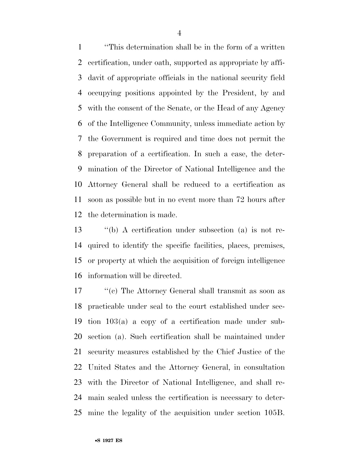''This determination shall be in the form of a written certification, under oath, supported as appropriate by affi- davit of appropriate officials in the national security field occupying positions appointed by the President, by and with the consent of the Senate, or the Head of any Agency of the Intelligence Community, unless immediate action by the Government is required and time does not permit the preparation of a certification. In such a case, the deter- mination of the Director of National Intelligence and the Attorney General shall be reduced to a certification as soon as possible but in no event more than 72 hours after the determination is made.

 ''(b) A certification under subsection (a) is not re- quired to identify the specific facilities, places, premises, or property at which the acquisition of foreign intelligence information will be directed.

 ''(c) The Attorney General shall transmit as soon as practicable under seal to the court established under sec- tion 103(a) a copy of a certification made under sub- section (a). Such certification shall be maintained under security measures established by the Chief Justice of the United States and the Attorney General, in consultation with the Director of National Intelligence, and shall re- main sealed unless the certification is necessary to deter-mine the legality of the acquisition under section 105B.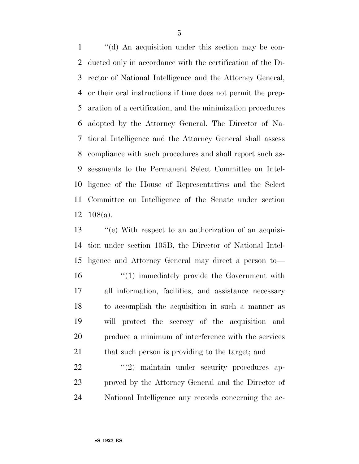''(d) An acquisition under this section may be con- ducted only in accordance with the certification of the Di- rector of National Intelligence and the Attorney General, or their oral instructions if time does not permit the prep- aration of a certification, and the minimization procedures adopted by the Attorney General. The Director of Na- tional Intelligence and the Attorney General shall assess compliance with such procedures and shall report such as- sessments to the Permanent Select Committee on Intel- ligence of the House of Representatives and the Select Committee on Intelligence of the Senate under section 108(a).

13 ''(e) With respect to an authorization of an acquisi- tion under section 105B, the Director of National Intel- ligence and Attorney General may direct a person to—  $\frac{1}{10}$  immediately provide the Government with all information, facilities, and assistance necessary to accomplish the acquisition in such a manner as will protect the secrecy of the acquisition and produce a minimum of interference with the services 21 that such person is providing to the target; and

 $\frac{1}{22}$  ''(2) maintain under security procedures ap- proved by the Attorney General and the Director of National Intelligence any records concerning the ac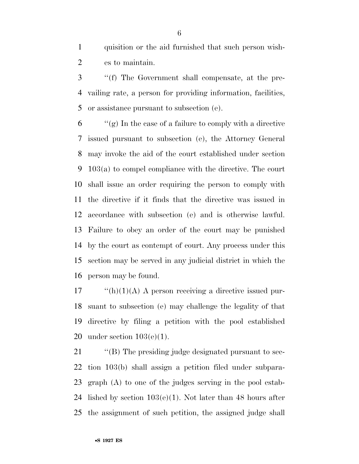quisition or the aid furnished that such person wish-es to maintain.

 ''(f) The Government shall compensate, at the pre- vailing rate, a person for providing information, facilities, or assistance pursuant to subsection (e).

 $\mathfrak{g}$   $\mathfrak{f}$   $\mathfrak{g}$  is the case of a failure to comply with a directive issued pursuant to subsection (e), the Attorney General may invoke the aid of the court established under section 103(a) to compel compliance with the directive. The court shall issue an order requiring the person to comply with the directive if it finds that the directive was issued in accordance with subsection (e) and is otherwise lawful. Failure to obey an order of the court may be punished by the court as contempt of court. Any process under this section may be served in any judicial district in which the person may be found.

 "(h)(1)(A) A person receiving a directive issued pur- suant to subsection (e) may challenge the legality of that directive by filing a petition with the pool established 20 under section  $103(e)(1)$ .

 $\langle$  (B) The presiding judge designated pursuant to sec- tion 103(b) shall assign a petition filed under subpara- graph (A) to one of the judges serving in the pool estab-24 lished by section  $103(e)(1)$ . Not later than 48 hours after the assignment of such petition, the assigned judge shall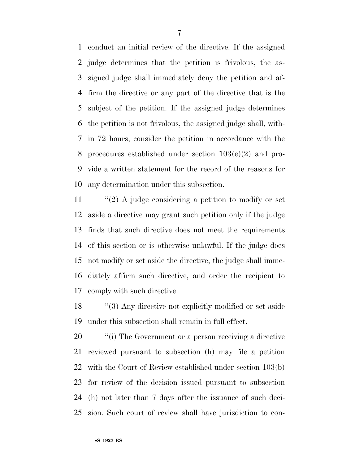conduct an initial review of the directive. If the assigned judge determines that the petition is frivolous, the as- signed judge shall immediately deny the petition and af- firm the directive or any part of the directive that is the subject of the petition. If the assigned judge determines the petition is not frivolous, the assigned judge shall, with- in 72 hours, consider the petition in accordance with the procedures established under section 103(e)(2) and pro- vide a written statement for the record of the reasons for any determination under this subsection.

 $\frac{1}{2}$  A judge considering a petition to modify or set aside a directive may grant such petition only if the judge finds that such directive does not meet the requirements of this section or is otherwise unlawful. If the judge does not modify or set aside the directive, the judge shall imme- diately affirm such directive, and order the recipient to comply with such directive.

18 ''(3) Any directive not explicitly modified or set aside under this subsection shall remain in full effect.

 $\cdot$  "(i) The Government or a person receiving a directive reviewed pursuant to subsection (h) may file a petition with the Court of Review established under section 103(b) for review of the decision issued pursuant to subsection (h) not later than 7 days after the issuance of such deci-sion. Such court of review shall have jurisdiction to con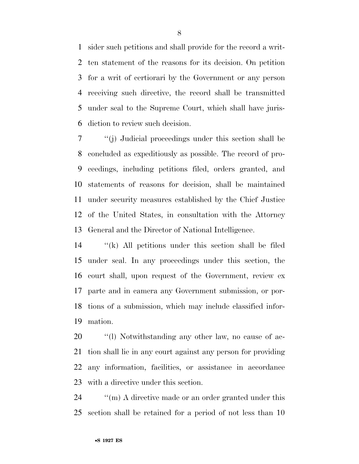sider such petitions and shall provide for the record a writ- ten statement of the reasons for its decision. On petition for a writ of certiorari by the Government or any person receiving such directive, the record shall be transmitted under seal to the Supreme Court, which shall have juris-diction to review such decision.

 ''(j) Judicial proceedings under this section shall be concluded as expeditiously as possible. The record of pro- ceedings, including petitions filed, orders granted, and statements of reasons for decision, shall be maintained under security measures established by the Chief Justice of the United States, in consultation with the Attorney General and the Director of National Intelligence.

 ''(k) All petitions under this section shall be filed under seal. In any proceedings under this section, the court shall, upon request of the Government, review ex parte and in camera any Government submission, or por- tions of a submission, which may include classified infor-mation.

 $\qquad$  "(1) Notwithstanding any other law, no cause of ac- tion shall lie in any court against any person for providing any information, facilities, or assistance in accordance with a directive under this section.

24  $\qquad$  "(m) A directive made or an order granted under this section shall be retained for a period of not less than 10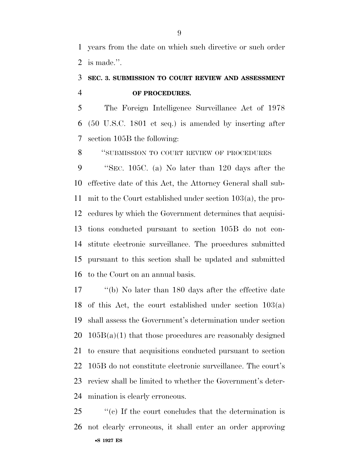years from the date on which such directive or such order is made.''.

## **SEC. 3. SUBMISSION TO COURT REVIEW AND ASSESSMENT OF PROCEDURES.**

 The Foreign Intelligence Surveillance Act of 1978 (50 U.S.C. 1801 et seq.) is amended by inserting after section 105B the following:

''SUBMISSION TO COURT REVIEW OF PROCEDURES

 ''SEC. 105C. (a) No later than 120 days after the effective date of this Act, the Attorney General shall sub- mit to the Court established under section 103(a), the pro- cedures by which the Government determines that acquisi- tions conducted pursuant to section 105B do not con- stitute electronic surveillance. The procedures submitted pursuant to this section shall be updated and submitted to the Court on an annual basis.

 ''(b) No later than 180 days after the effective date of this Act, the court established under section 103(a) shall assess the Government's determination under section  $105B(a)(1)$  that those procedures are reasonably designed to ensure that acquisitions conducted pursuant to section 105B do not constitute electronic surveillance. The court's review shall be limited to whether the Government's deter-mination is clearly erroneous.

•**S 1927 ES** ''(c) If the court concludes that the determination is not clearly erroneous, it shall enter an order approving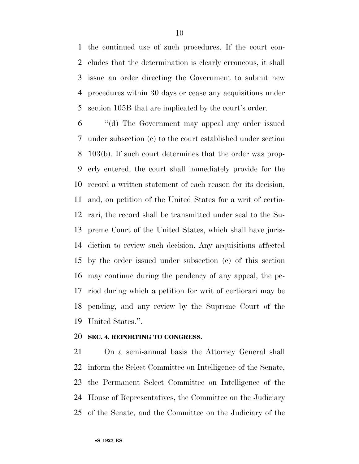the continued use of such procedures. If the court con- cludes that the determination is clearly erroneous, it shall issue an order directing the Government to submit new procedures within 30 days or cease any acquisitions under section 105B that are implicated by the court's order.

 ''(d) The Government may appeal any order issued under subsection (c) to the court established under section 103(b). If such court determines that the order was prop- erly entered, the court shall immediately provide for the record a written statement of each reason for its decision, and, on petition of the United States for a writ of certio- rari, the record shall be transmitted under seal to the Su- preme Court of the United States, which shall have juris- diction to review such decision. Any acquisitions affected by the order issued under subsection (c) of this section may continue during the pendency of any appeal, the pe- riod during which a petition for writ of certiorari may be pending, and any review by the Supreme Court of the United States.''.

#### **SEC. 4. REPORTING TO CONGRESS.**

 On a semi-annual basis the Attorney General shall inform the Select Committee on Intelligence of the Senate, the Permanent Select Committee on Intelligence of the House of Representatives, the Committee on the Judiciary of the Senate, and the Committee on the Judiciary of the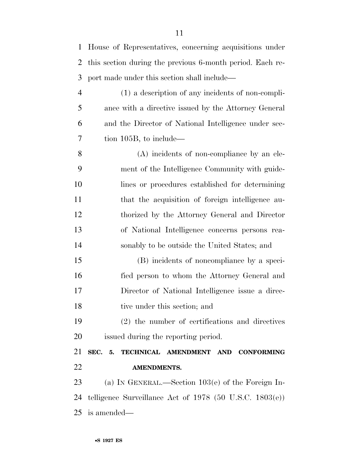| $\mathbf{1}$   | House of Representatives, concerning acquisitions under      |
|----------------|--------------------------------------------------------------|
| 2              | this section during the previous 6-month period. Each re-    |
| 3              | port made under this section shall include—                  |
| $\overline{4}$ | (1) a description of any incidents of non-compli-            |
| 5              | ance with a directive issued by the Attorney General         |
| 6              | and the Director of National Intelligence under sec-         |
| 7              | tion 105B, to include—                                       |
| 8              | (A) incidents of non-compliance by an ele-                   |
| 9              | ment of the Intelligence Community with guide-               |
| 10             | lines or procedures established for determining              |
| 11             | that the acquisition of foreign intelligence au-             |
| 12             | thorized by the Attorney General and Director                |
| 13             | of National Intelligence concerns persons rea-               |
| 14             | sonably to be outside the United States; and                 |
| 15             | (B) incidents of noncompliance by a speci-                   |
| 16             | fied person to whom the Attorney General and                 |
| 17             | Director of National Intelligence issue a direc-             |
| 18             | tive under this section; and                                 |
| 19             | $(2)$ the number of certifications and directives            |
| 20             | issued during the reporting period.                          |
| 21             | SEC. 5. TECHNICAL AMENDMENT AND CONFORMING                   |
| 22             | <b>AMENDMENTS.</b>                                           |
| 23             | (a) IN GENERAL.—Section $103(e)$ of the Foreign In-          |
| 24             | telligence Surveillance Act of $1978$ (50 U.S.C. $1803(e)$ ) |
| 25             | is amended—                                                  |
|                |                                                              |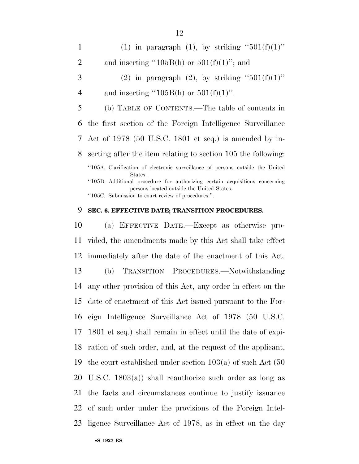1 (1) in paragraph (1), by striking " $501(f)(1)$ " 2 and inserting "105B(h) or  $501(f)(1)$ "; and 3 (2) in paragraph (2), by striking " $501(f)(1)$ " 4 and inserting "105B(h) or  $501(f)(1)$ ". (b) TABLE OF CONTENTS.—The table of contents in the first section of the Foreign Intelligence Surveillance Act of 1978 (50 U.S.C. 1801 et seq.) is amended by in- serting after the item relating to section 105 the following: ''105A. Clarification of electronic surveillance of persons outside the United States. ''105B. Additional procedure for authorizing certain acquisitions concerning persons located outside the United States. ''105C. Submission to court review of procedures.''.

### **SEC. 6. EFFECTIVE DATE; TRANSITION PROCEDURES.**

 (a) EFFECTIVE DATE.—Except as otherwise pro- vided, the amendments made by this Act shall take effect immediately after the date of the enactment of this Act. (b) TRANSITION PROCEDURES.—Notwithstanding any other provision of this Act, any order in effect on the date of enactment of this Act issued pursuant to the For- eign Intelligence Surveillance Act of 1978 (50 U.S.C. 1801 et seq.) shall remain in effect until the date of expi- ration of such order, and, at the request of the applicant, the court established under section 103(a) of such Act (50 U.S.C. 1803(a)) shall reauthorize such order as long as the facts and circumstances continue to justify issuance of such order under the provisions of the Foreign Intel-ligence Surveillance Act of 1978, as in effect on the day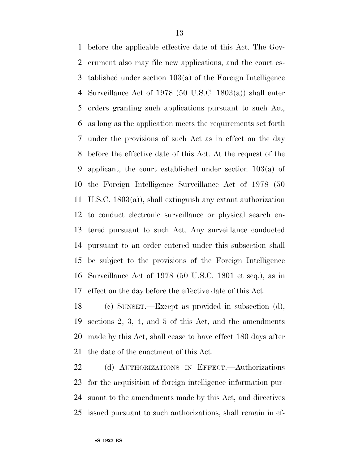before the applicable effective date of this Act. The Gov- ernment also may file new applications, and the court es- tablished under section 103(a) of the Foreign Intelligence Surveillance Act of 1978 (50 U.S.C. 1803(a)) shall enter orders granting such applications pursuant to such Act, as long as the application meets the requirements set forth under the provisions of such Act as in effect on the day before the effective date of this Act. At the request of the applicant, the court established under section 103(a) of the Foreign Intelligence Surveillance Act of 1978 (50 U.S.C. 1803(a)), shall extinguish any extant authorization to conduct electronic surveillance or physical search en- tered pursuant to such Act. Any surveillance conducted pursuant to an order entered under this subsection shall be subject to the provisions of the Foreign Intelligence Surveillance Act of 1978 (50 U.S.C. 1801 et seq.), as in effect on the day before the effective date of this Act.

 (c) SUNSET.—Except as provided in subsection (d), sections 2, 3, 4, and 5 of this Act, and the amendments made by this Act, shall cease to have effect 180 days after the date of the enactment of this Act.

 (d) AUTHORIZATIONS IN EFFECT.—Authorizations for the acquisition of foreign intelligence information pur- suant to the amendments made by this Act, and directives issued pursuant to such authorizations, shall remain in ef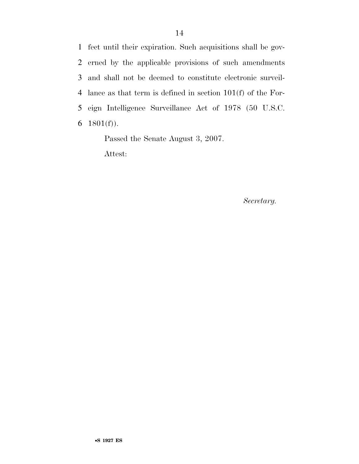fect until their expiration. Such acquisitions shall be gov- erned by the applicable provisions of such amendments and shall not be deemed to constitute electronic surveil- lance as that term is defined in section 101(f) of the For- eign Intelligence Surveillance Act of 1978 (50 U.S.C. 1801(f)).

Passed the Senate August 3, 2007.

Attest:

*Secretary.*